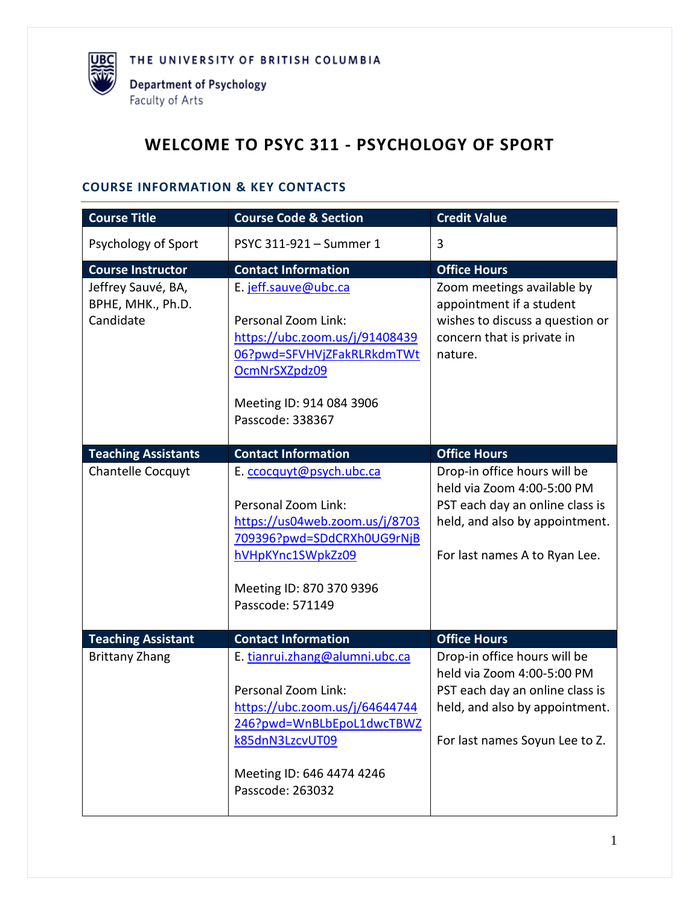

# **WELCOME TO PSYC 311 - PSYCHOLOGY OF SPORT**

#### **COURSE INFORMATION & KEY CONTACTS**

| <b>Course Title</b>                                  | <b>Course Code &amp; Section</b>                                                                                                                                                         | <b>Credit Value</b>                                                                                                                                               |
|------------------------------------------------------|------------------------------------------------------------------------------------------------------------------------------------------------------------------------------------------|-------------------------------------------------------------------------------------------------------------------------------------------------------------------|
| Psychology of Sport                                  | PSYC 311-921 - Summer 1                                                                                                                                                                  | 3                                                                                                                                                                 |
| <b>Course Instructor</b>                             | <b>Contact Information</b>                                                                                                                                                               | <b>Office Hours</b>                                                                                                                                               |
| Jeffrey Sauvé, BA,<br>BPHE, MHK., Ph.D.<br>Candidate | E. jeff.sauve@ubc.ca<br>Personal Zoom Link:<br>https://ubc.zoom.us/j/91408439<br>06?pwd=SFVHVjZFakRLRkdmTWt<br>OcmNrSXZpdz09<br>Meeting ID: 914 084 3906<br>Passcode: 338367             | Zoom meetings available by<br>appointment if a student<br>wishes to discuss a question or<br>concern that is private in<br>nature.                                |
| <b>Teaching Assistants</b>                           | <b>Contact Information</b>                                                                                                                                                               | <b>Office Hours</b>                                                                                                                                               |
| Chantelle Cocquyt                                    | E. ccocquyt@psych.ubc.ca<br>Personal Zoom Link:<br>https://us04web.zoom.us/j/8703<br>709396?pwd=SDdCRXh0UG9rNjB<br>hVHpKYnc1SWpkZz09<br>Meeting ID: 870 370 9396<br>Passcode: 571149     | Drop-in office hours will be<br>held via Zoom 4:00-5:00 PM<br>PST each day an online class is<br>held, and also by appointment.<br>For last names A to Ryan Lee.  |
| <b>Teaching Assistant</b>                            | <b>Contact Information</b>                                                                                                                                                               | <b>Office Hours</b>                                                                                                                                               |
| <b>Brittany Zhang</b>                                | E. tianrui.zhang@alumni.ubc.ca<br>Personal Zoom Link:<br>https://ubc.zoom.us/j/64644744<br>246?pwd=WnBLbEpoL1dwcTBWZ<br>k85dnN3LzcvUT09<br>Meeting ID: 646 4474 4246<br>Passcode: 263032 | Drop-in office hours will be<br>held via Zoom 4:00-5:00 PM<br>PST each day an online class is<br>held, and also by appointment.<br>For last names Soyun Lee to Z. |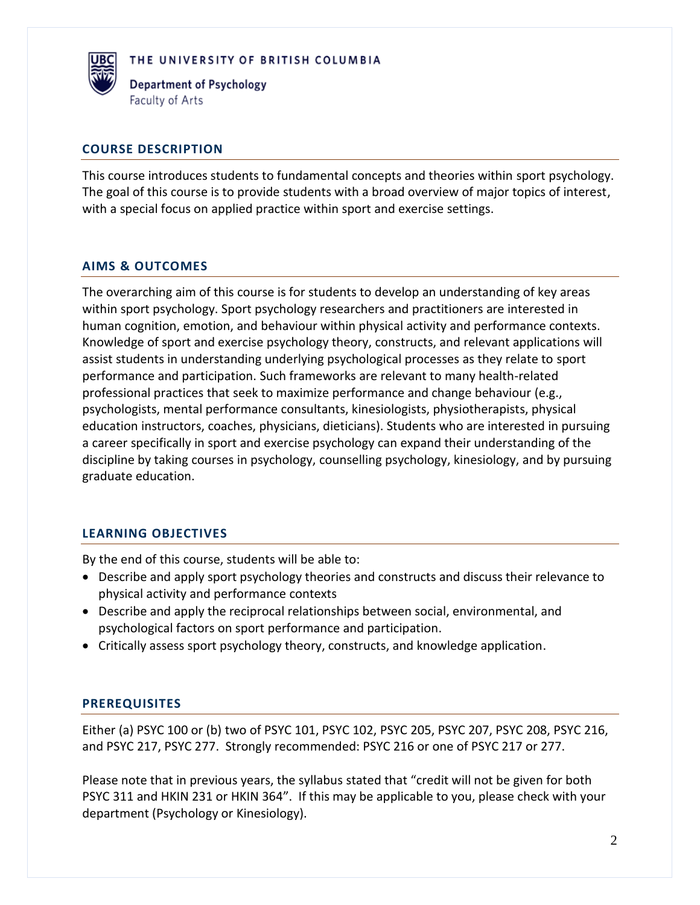

Department of Psychology Faculty of Arts

#### **COURSE DESCRIPTION**

This course introduces students to fundamental concepts and theories within sport psychology. The goal of this course is to provide students with a broad overview of major topics of interest, with a special focus on applied practice within sport and exercise settings.

#### **AIMS & OUTCOMES**

The overarching aim of this course is for students to develop an understanding of key areas within sport psychology. Sport psychology researchers and practitioners are interested in human cognition, emotion, and behaviour within physical activity and performance contexts. Knowledge of sport and exercise psychology theory, constructs, and relevant applications will assist students in understanding underlying psychological processes as they relate to sport performance and participation. Such frameworks are relevant to many health-related professional practices that seek to maximize performance and change behaviour (e.g., psychologists, mental performance consultants, kinesiologists, physiotherapists, physical education instructors, coaches, physicians, dieticians). Students who are interested in pursuing a career specifically in sport and exercise psychology can expand their understanding of the discipline by taking courses in psychology, counselling psychology, kinesiology, and by pursuing graduate education.

# **LEARNING OBJECTIVES**

By the end of this course, students will be able to:

- Describe and apply sport psychology theories and constructs and discuss their relevance to physical activity and performance contexts
- Describe and apply the reciprocal relationships between social, environmental, and psychological factors on sport performance and participation.
- Critically assess sport psychology theory, constructs, and knowledge application.

# **PREREQUISITES**

Either (a) PSYC 100 or (b) two of PSYC 101, PSYC 102, PSYC 205, PSYC 207, PSYC 208, PSYC 216, and PSYC 217, PSYC 277. Strongly recommended: PSYC 216 or one of PSYC 217 or 277.

Please note that in previous years, the syllabus stated that "credit will not be given for both PSYC 311 and HKIN 231 or HKIN 364". If this may be applicable to you, please check with your department (Psychology or Kinesiology).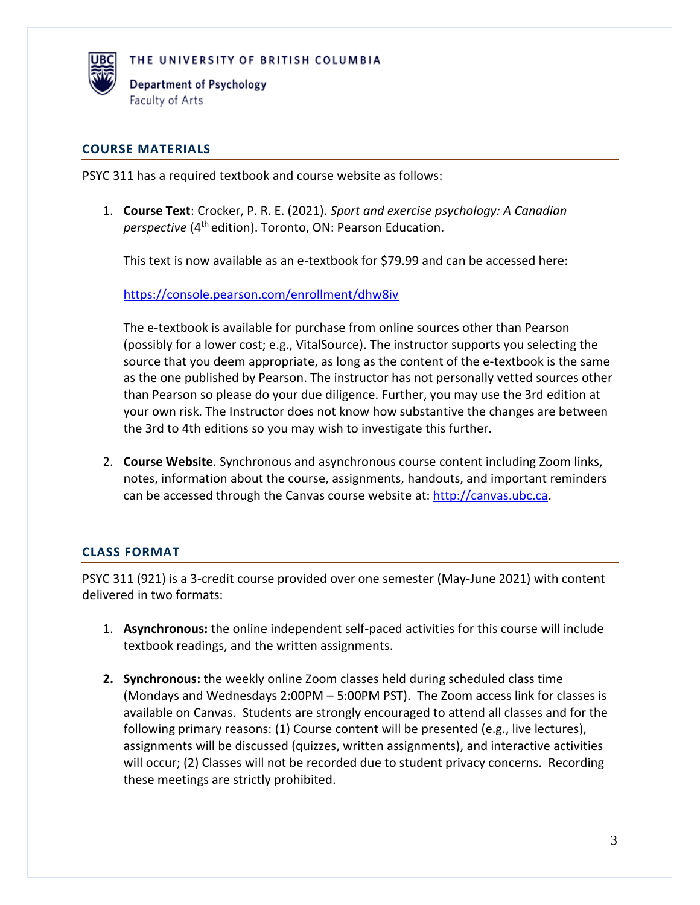

Department of Psychology Faculty of Arts

#### **COURSE MATERIALS**

PSYC 311 has a required textbook and course website as follows:

1. **Course Text**: Crocker, P. R. E. (2021). *Sport and exercise psychology: A Canadian perspective* (4th edition). Toronto, ON: Pearson Education.

This text is now available as an e-textbook for \$79.99 and can be accessed here:

<https://console.pearson.com/enrollment/dhw8iv>

The e-textbook is available for purchase from online sources other than Pearson (possibly for a lower cost; e.g., VitalSource). The instructor supports you selecting the source that you deem appropriate, as long as the content of the e-textbook is the same as the one published by Pearson. The instructor has not personally vetted sources other than Pearson so please do your due diligence. Further, you may use the 3rd edition at your own risk. The Instructor does not know how substantive the changes are between the 3rd to 4th editions so you may wish to investigate this further.

2. **Course Website**. Synchronous and asynchronous course content including Zoom links, notes, information about the course, assignments, handouts, and important reminders can be accessed through the Canvas course website at: [http://canvas.ubc.ca.](http://canvas.ubc.ca/)

#### **CLASS FORMAT**

PSYC 311 (921) is a 3-credit course provided over one semester (May-June 2021) with content delivered in two formats:

- 1. **Asynchronous:** the online independent self-paced activities for this course will include textbook readings, and the written assignments.
- **2. Synchronous:** the weekly online Zoom classes held during scheduled class time (Mondays and Wednesdays 2:00PM – 5:00PM PST). The Zoom access link for classes is available on Canvas. Students are strongly encouraged to attend all classes and for the following primary reasons: (1) Course content will be presented (e.g., live lectures), assignments will be discussed (quizzes, written assignments), and interactive activities will occur; (2) Classes will not be recorded due to student privacy concerns. Recording these meetings are strictly prohibited.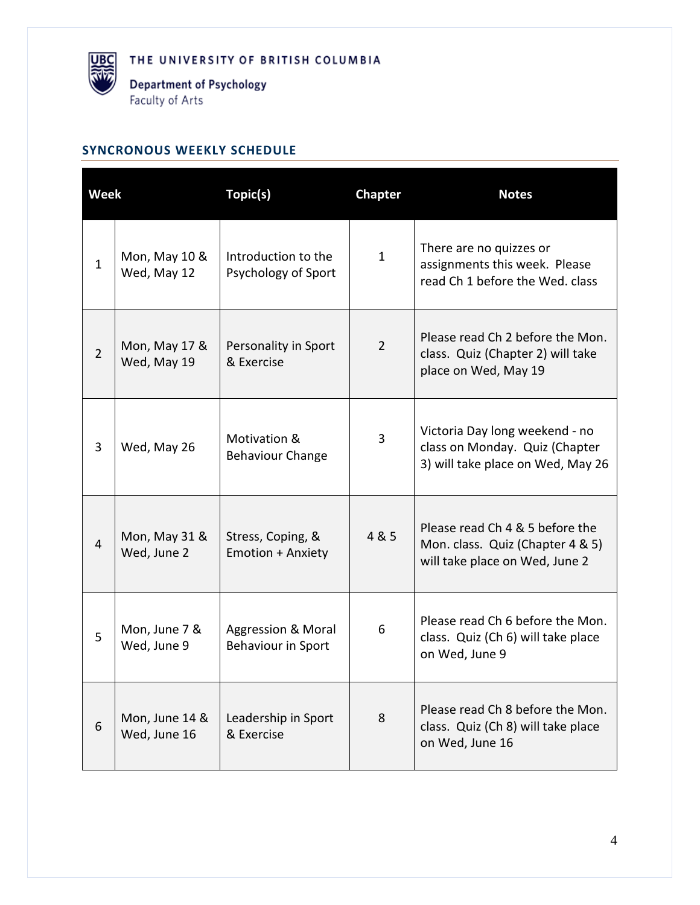**UBC** 

### **SYNCRONOUS WEEKLY SCHEDULE**

| <b>Week</b>    |                                | Topic(s)<br><b>Chapter</b>                          |                | <b>Notes</b>                                                                                          |  |
|----------------|--------------------------------|-----------------------------------------------------|----------------|-------------------------------------------------------------------------------------------------------|--|
| $\mathbf{1}$   | Mon, May 10 &<br>Wed, May 12   | Introduction to the<br>Psychology of Sport          | $\mathbf{1}$   | There are no quizzes or<br>assignments this week. Please<br>read Ch 1 before the Wed. class           |  |
| $\overline{2}$ | Mon, May 17 &<br>Wed, May 19   | Personality in Sport<br>& Exercise                  | $\overline{2}$ | Please read Ch 2 before the Mon.<br>class. Quiz (Chapter 2) will take<br>place on Wed, May 19         |  |
| 3              | Wed, May 26                    | Motivation &<br><b>Behaviour Change</b>             | 3              | Victoria Day long weekend - no<br>class on Monday. Quiz (Chapter<br>3) will take place on Wed, May 26 |  |
| $\overline{4}$ | Mon, May 31 &<br>Wed, June 2   | Stress, Coping, &<br><b>Emotion + Anxiety</b>       | 4 & 5          | Please read Ch 4 & 5 before the<br>Mon. class. Quiz (Chapter 4 & 5)<br>will take place on Wed, June 2 |  |
| 5              | Mon, June 7 &<br>Wed, June 9   | <b>Aggression &amp; Moral</b><br>Behaviour in Sport | 6              | Please read Ch 6 before the Mon.<br>class. Quiz (Ch 6) will take place<br>on Wed, June 9              |  |
| 6              | Mon, June 14 &<br>Wed, June 16 | Leadership in Sport<br>& Exercise                   | 8              | Please read Ch 8 before the Mon.<br>class. Quiz (Ch 8) will take place<br>on Wed, June 16             |  |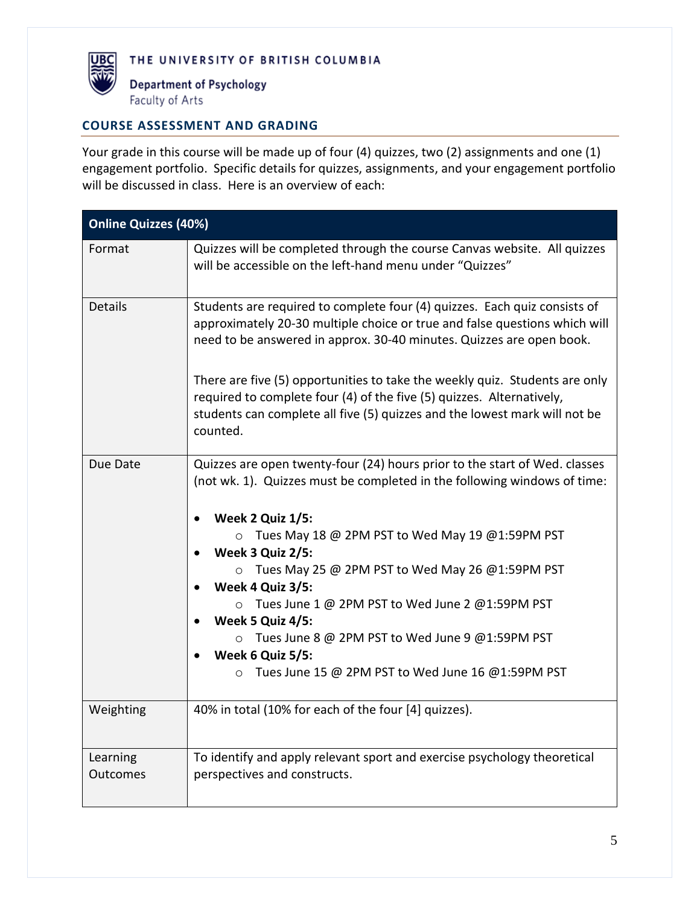

#### **COURSE ASSESSMENT AND GRADING**

Your grade in this course will be made up of four (4) quizzes, two (2) assignments and one (1) engagement portfolio. Specific details for quizzes, assignments, and your engagement portfolio will be discussed in class. Here is an overview of each:

| <b>Online Quizzes (40%)</b> |                                                                                                                                                                                                                                                                                                                                                                                                                                                                                                                                                              |  |  |
|-----------------------------|--------------------------------------------------------------------------------------------------------------------------------------------------------------------------------------------------------------------------------------------------------------------------------------------------------------------------------------------------------------------------------------------------------------------------------------------------------------------------------------------------------------------------------------------------------------|--|--|
| Format                      | Quizzes will be completed through the course Canvas website. All quizzes<br>will be accessible on the left-hand menu under "Quizzes"                                                                                                                                                                                                                                                                                                                                                                                                                         |  |  |
| <b>Details</b>              | Students are required to complete four (4) quizzes. Each quiz consists of<br>approximately 20-30 multiple choice or true and false questions which will<br>need to be answered in approx. 30-40 minutes. Quizzes are open book.                                                                                                                                                                                                                                                                                                                              |  |  |
|                             | There are five (5) opportunities to take the weekly quiz. Students are only<br>required to complete four (4) of the five (5) quizzes. Alternatively,<br>students can complete all five (5) quizzes and the lowest mark will not be<br>counted.                                                                                                                                                                                                                                                                                                               |  |  |
| Due Date                    | Quizzes are open twenty-four (24) hours prior to the start of Wed. classes<br>(not wk. 1). Quizzes must be completed in the following windows of time:<br>Week 2 Quiz 1/5:<br>$\bullet$<br>$\circ$ Tues May 18 @ 2PM PST to Wed May 19 @1:59PM PST<br>Week 3 Quiz 2/5:<br>$\circ$ Tues May 25 @ 2PM PST to Wed May 26 @1:59PM PST<br>Week 4 Quiz 3/5:<br>○ Tues June 1 @ 2PM PST to Wed June 2 @1:59PM PST<br>Week 5 Quiz 4/5:<br>○ Tues June 8 @ 2PM PST to Wed June 9 @1:59PM PST<br>Week 6 Quiz 5/5:<br>Tues June 15 @ 2PM PST to Wed June 16 @1:59PM PST |  |  |
| Weighting                   | 40% in total (10% for each of the four [4] quizzes).                                                                                                                                                                                                                                                                                                                                                                                                                                                                                                         |  |  |
| Learning<br><b>Outcomes</b> | To identify and apply relevant sport and exercise psychology theoretical<br>perspectives and constructs.                                                                                                                                                                                                                                                                                                                                                                                                                                                     |  |  |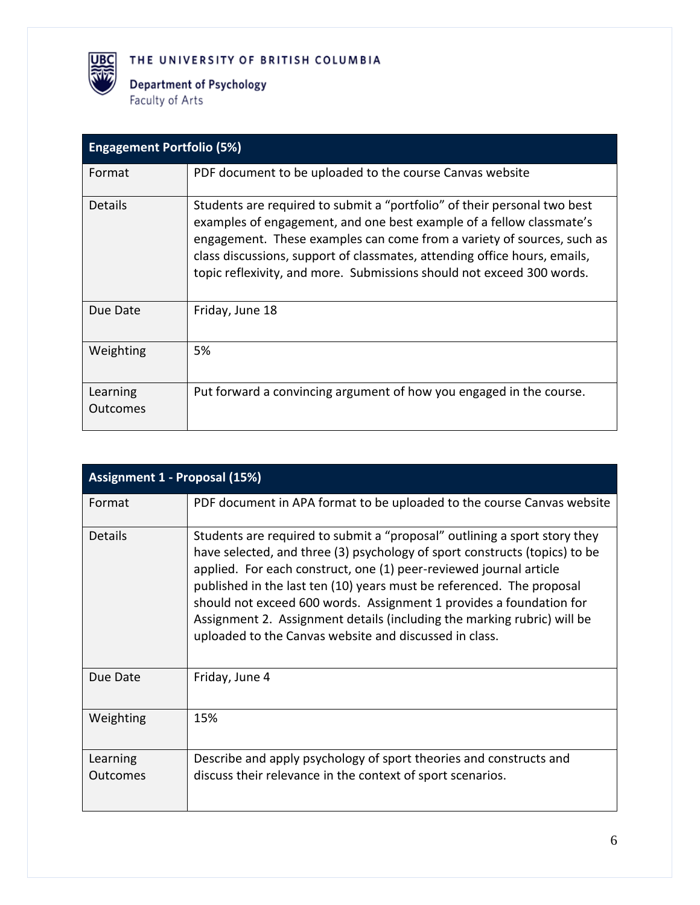

**Department of Psychology** Faculty of Arts

| <b>Engagement Portfolio (5%)</b> |                                                                                                                                                                                                                                                                                                                                                                                  |  |  |
|----------------------------------|----------------------------------------------------------------------------------------------------------------------------------------------------------------------------------------------------------------------------------------------------------------------------------------------------------------------------------------------------------------------------------|--|--|
| Format                           | PDF document to be uploaded to the course Canvas website                                                                                                                                                                                                                                                                                                                         |  |  |
| <b>Details</b>                   | Students are required to submit a "portfolio" of their personal two best<br>examples of engagement, and one best example of a fellow classmate's<br>engagement. These examples can come from a variety of sources, such as<br>class discussions, support of classmates, attending office hours, emails,<br>topic reflexivity, and more. Submissions should not exceed 300 words. |  |  |
| Due Date                         | Friday, June 18                                                                                                                                                                                                                                                                                                                                                                  |  |  |
| Weighting                        | 5%                                                                                                                                                                                                                                                                                                                                                                               |  |  |
| Learning<br><b>Outcomes</b>      | Put forward a convincing argument of how you engaged in the course.                                                                                                                                                                                                                                                                                                              |  |  |

| Assignment 1 - Proposal (15%) |                                                                                                                                                                                                                                                                                                                                                                                                                                                                                                                    |  |  |
|-------------------------------|--------------------------------------------------------------------------------------------------------------------------------------------------------------------------------------------------------------------------------------------------------------------------------------------------------------------------------------------------------------------------------------------------------------------------------------------------------------------------------------------------------------------|--|--|
| Format                        | PDF document in APA format to be uploaded to the course Canvas website                                                                                                                                                                                                                                                                                                                                                                                                                                             |  |  |
| <b>Details</b>                | Students are required to submit a "proposal" outlining a sport story they<br>have selected, and three (3) psychology of sport constructs (topics) to be<br>applied. For each construct, one (1) peer-reviewed journal article<br>published in the last ten (10) years must be referenced. The proposal<br>should not exceed 600 words. Assignment 1 provides a foundation for<br>Assignment 2. Assignment details (including the marking rubric) will be<br>uploaded to the Canvas website and discussed in class. |  |  |
| Due Date                      | Friday, June 4                                                                                                                                                                                                                                                                                                                                                                                                                                                                                                     |  |  |
| Weighting                     | 15%                                                                                                                                                                                                                                                                                                                                                                                                                                                                                                                |  |  |
| Learning<br><b>Outcomes</b>   | Describe and apply psychology of sport theories and constructs and<br>discuss their relevance in the context of sport scenarios.                                                                                                                                                                                                                                                                                                                                                                                   |  |  |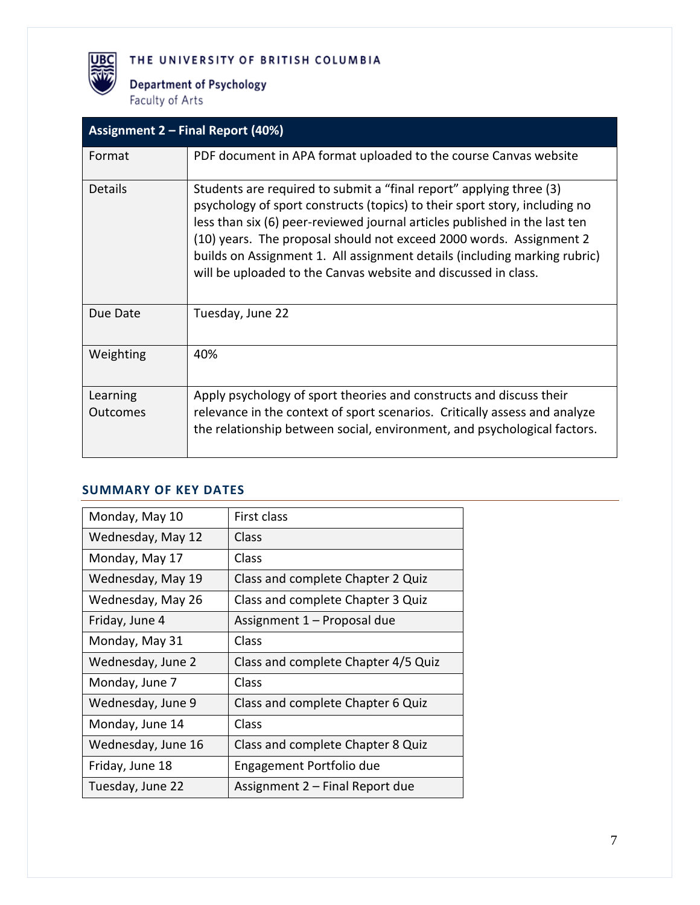**Department of Psychology** Faculty of Arts

**UBC** 

| <b>Assignment 2 - Final Report (40%)</b> |                                                                                                                                                                                                                                                                                                                                                                                                                                                       |  |  |
|------------------------------------------|-------------------------------------------------------------------------------------------------------------------------------------------------------------------------------------------------------------------------------------------------------------------------------------------------------------------------------------------------------------------------------------------------------------------------------------------------------|--|--|
| Format                                   | PDF document in APA format uploaded to the course Canvas website                                                                                                                                                                                                                                                                                                                                                                                      |  |  |
| <b>Details</b>                           | Students are required to submit a "final report" applying three (3)<br>psychology of sport constructs (topics) to their sport story, including no<br>less than six (6) peer-reviewed journal articles published in the last ten<br>(10) years. The proposal should not exceed 2000 words. Assignment 2<br>builds on Assignment 1. All assignment details (including marking rubric)<br>will be uploaded to the Canvas website and discussed in class. |  |  |
| Due Date                                 | Tuesday, June 22                                                                                                                                                                                                                                                                                                                                                                                                                                      |  |  |
| Weighting                                | 40%                                                                                                                                                                                                                                                                                                                                                                                                                                                   |  |  |
| Learning<br><b>Outcomes</b>              | Apply psychology of sport theories and constructs and discuss their<br>relevance in the context of sport scenarios. Critically assess and analyze<br>the relationship between social, environment, and psychological factors.                                                                                                                                                                                                                         |  |  |

#### **SUMMARY OF KEY DATES**

| Monday, May 10     | First class                         |
|--------------------|-------------------------------------|
| Wednesday, May 12  | Class                               |
| Monday, May 17     | Class                               |
| Wednesday, May 19  | Class and complete Chapter 2 Quiz   |
| Wednesday, May 26  | Class and complete Chapter 3 Quiz   |
| Friday, June 4     | Assignment 1 – Proposal due         |
| Monday, May 31     | Class                               |
| Wednesday, June 2  | Class and complete Chapter 4/5 Quiz |
| Monday, June 7     | Class                               |
| Wednesday, June 9  | Class and complete Chapter 6 Quiz   |
| Monday, June 14    | Class                               |
| Wednesday, June 16 | Class and complete Chapter 8 Quiz   |
| Friday, June 18    | Engagement Portfolio due            |
| Tuesday, June 22   | Assignment 2 – Final Report due     |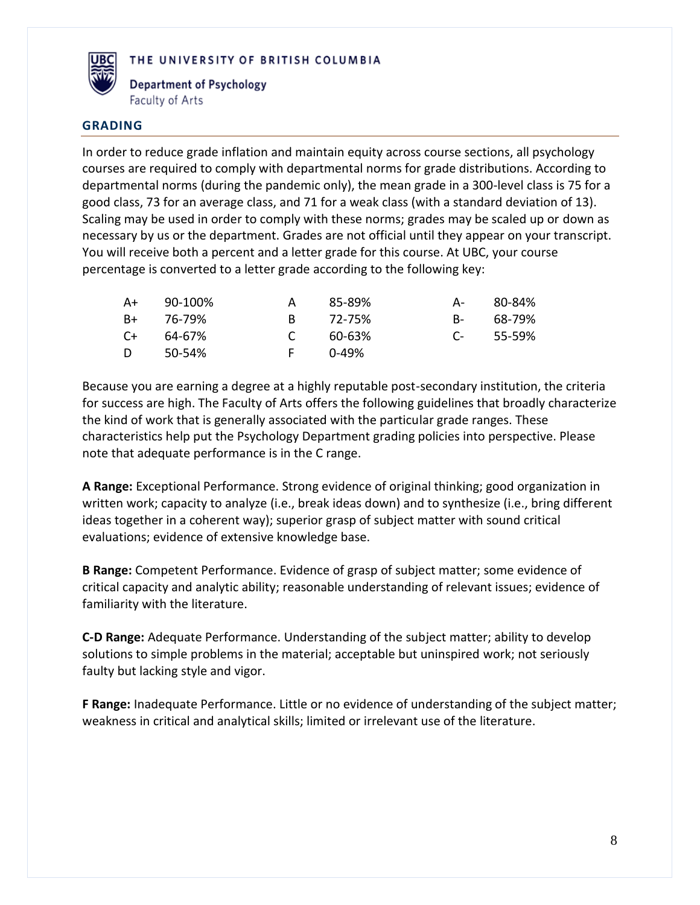

**Department of Psychology** Faculty of Arts

#### **GRADING**

In order to reduce grade inflation and maintain equity across course sections, all psychology courses are required to comply with departmental norms for grade distributions. According to departmental norms (during the pandemic only), the mean grade in a 300-level class is 75 for a good class, 73 for an average class, and 71 for a weak class (with a standard deviation of 13). Scaling may be used in order to comply with these norms; grades may be scaled up or down as necessary by us or the department. Grades are not official until they appear on your transcript. You will receive both a percent and a letter grade for this course. At UBC, your course percentage is converted to a letter grade according to the following key:

| A+   | 90-100% | A             | 85-89% | A-              | 80-84% |
|------|---------|---------------|--------|-----------------|--------|
| B+   | 76-79%  | R.            | 72-75% | <b>B</b> -      | 68-79% |
| $C+$ | 64-67%  | $\mathcal{C}$ | 60-63% | $\Gamma$ $\sim$ | 55-59% |
| D.   | 50-54%  | E.            | በ-49%  |                 |        |

Because you are earning a degree at a highly reputable post-secondary institution, the criteria for success are high. The Faculty of Arts offers the following guidelines that broadly characterize the kind of work that is generally associated with the particular grade ranges. These characteristics help put the Psychology Department grading policies into perspective. Please note that adequate performance is in the C range.

**A Range:** Exceptional Performance. Strong evidence of original thinking; good organization in written work; capacity to analyze (i.e., break ideas down) and to synthesize (i.e., bring different ideas together in a coherent way); superior grasp of subject matter with sound critical evaluations; evidence of extensive knowledge base.

**B Range:** Competent Performance. Evidence of grasp of subject matter; some evidence of critical capacity and analytic ability; reasonable understanding of relevant issues; evidence of familiarity with the literature.

**C-D Range:** Adequate Performance. Understanding of the subject matter; ability to develop solutions to simple problems in the material; acceptable but uninspired work; not seriously faulty but lacking style and vigor.

**F Range:** Inadequate Performance. Little or no evidence of understanding of the subject matter; weakness in critical and analytical skills; limited or irrelevant use of the literature.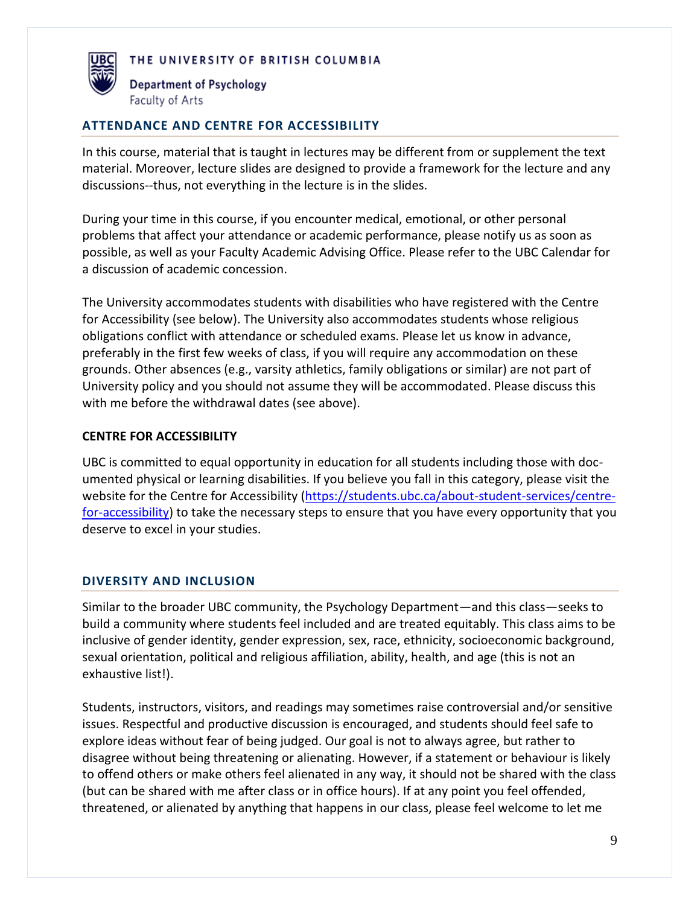



#### **ATTENDANCE AND CENTRE FOR ACCESSIBILITY**

In this course, material that is taught in lectures may be different from or supplement the text material. Moreover, lecture slides are designed to provide a framework for the lecture and any discussions--thus, not everything in the lecture is in the slides.

During your time in this course, if you encounter medical, emotional, or other personal problems that affect your attendance or academic performance, please notify us as soon as possible, as well as your Faculty Academic Advising Office. Please refer to the UBC Calendar for a discussion of academic concession.

The University accommodates students with disabilities who have registered with the Centre for Accessibility (see below). The University also accommodates students whose religious obligations conflict with attendance or scheduled exams. Please let us know in advance, preferably in the first few weeks of class, if you will require any accommodation on these grounds. Other absences (e.g., varsity athletics, family obligations or similar) are not part of University policy and you should not assume they will be accommodated. Please discuss this with me before the withdrawal dates (see above).

#### **CENTRE FOR ACCESSIBILITY**

UBC is committed to equal opportunity in education for all students including those with documented physical or learning disabilities. If you believe you fall in this category, please visit the website for the Centre for Accessibility [\(https://students.ubc.ca/about-student-services/centre](https://students.ubc.ca/about-student-services/centre-for-accessibility)[for-accessibility\)](https://students.ubc.ca/about-student-services/centre-for-accessibility) to take the necessary steps to ensure that you have every opportunity that you deserve to excel in your studies.

#### **DIVERSITY AND INCLUSION**

Similar to the broader UBC community, the Psychology Department—and this class—seeks to build a community where students feel included and are treated equitably. This class aims to be inclusive of gender identity, gender expression, sex, race, ethnicity, socioeconomic background, sexual orientation, political and religious affiliation, ability, health, and age (this is not an exhaustive list!).

Students, instructors, visitors, and readings may sometimes raise controversial and/or sensitive issues. Respectful and productive discussion is encouraged, and students should feel safe to explore ideas without fear of being judged. Our goal is not to always agree, but rather to disagree without being threatening or alienating. However, if a statement or behaviour is likely to offend others or make others feel alienated in any way, it should not be shared with the class (but can be shared with me after class or in office hours). If at any point you feel offended, threatened, or alienated by anything that happens in our class, please feel welcome to let me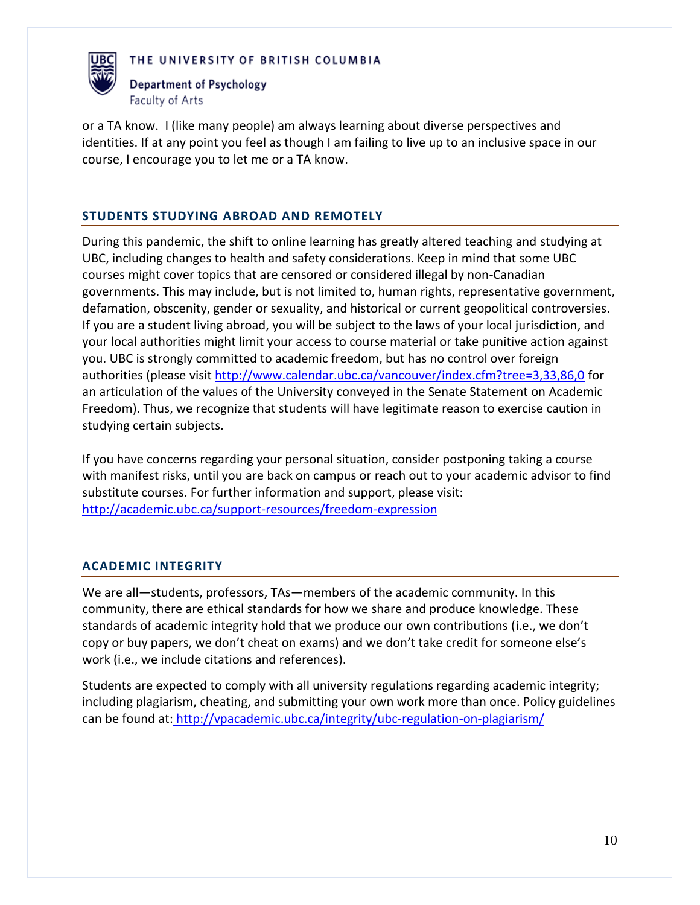



or a TA know. I (like many people) am always learning about diverse perspectives and identities. If at any point you feel as though I am failing to live up to an inclusive space in our course, I encourage you to let me or a TA know.

# **STUDENTS STUDYING ABROAD AND REMOTELY**

During this pandemic, the shift to online learning has greatly altered teaching and studying at UBC, including changes to health and safety considerations. Keep in mind that some UBC courses might cover topics that are censored or considered illegal by non-Canadian governments. This may include, but is not limited to, human rights, representative government, defamation, obscenity, gender or sexuality, and historical or current geopolitical controversies. If you are a student living abroad, you will be subject to the laws of your local jurisdiction, and your local authorities might limit your access to course material or take punitive action against you. UBC is strongly committed to academic freedom, but has no control over foreign authorities (please visit<http://www.calendar.ubc.ca/vancouver/index.cfm?tree=3,33,86,0> for an articulation of the values of the University conveyed in the Senate Statement on Academic Freedom). Thus, we recognize that students will have legitimate reason to exercise caution in studying certain subjects.

If you have concerns regarding your personal situation, consider postponing taking a course with manifest risks, until you are back on campus or reach out to your academic advisor to find substitute courses. For further information and support, please visit: <http://academic.ubc.ca/support-resources/freedom-expression>

# **ACADEMIC INTEGRITY**

We are all—students, professors, TAs—members of the academic community. In this community, there are ethical standards for how we share and produce knowledge. These standards of academic integrity hold that we produce our own contributions (i.e., we don't copy or buy papers, we don't cheat on exams) and we don't take credit for someone else's work (i.e., we include citations and references).

Students are expected to comply with all university regulations regarding academic integrity; including plagiarism, cheating, and submitting your own work more than once. Policy guidelines can be found at: <http://vpacademic.ubc.ca/integrity/ubc-regulation-on-plagiarism/>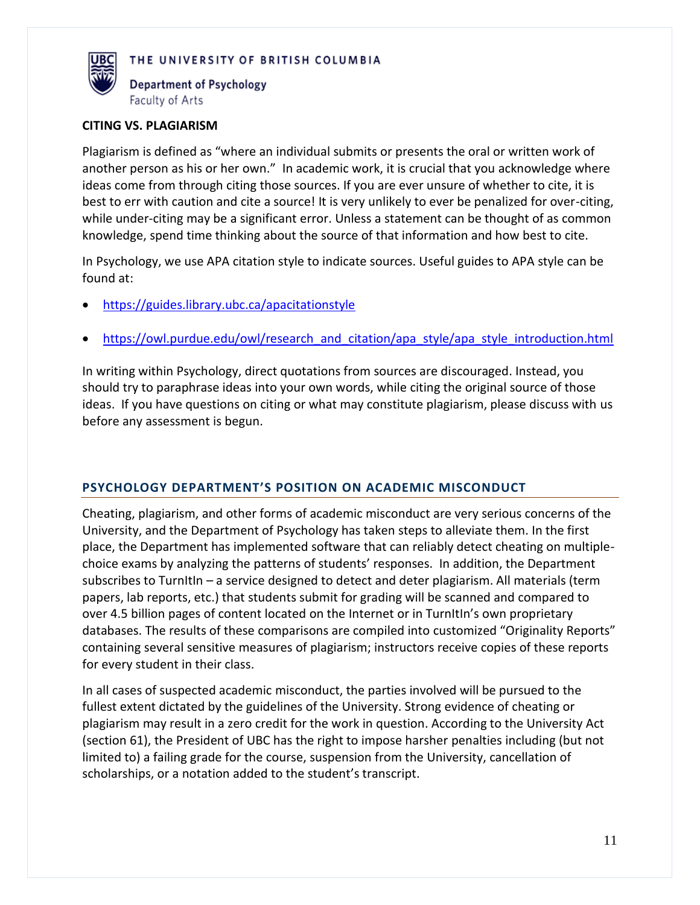

Department of Psychology Faculty of Arts

#### **CITING VS. PLAGIARISM**

Plagiarism is defined as "where an individual submits or presents the oral or written work of another person as his or her own." In academic work, it is crucial that you acknowledge where ideas come from through citing those sources. If you are ever unsure of whether to cite, it is best to err with caution and cite a source! It is very unlikely to ever be penalized for over-citing, while under-citing may be a significant error. Unless a statement can be thought of as common knowledge, spend time thinking about the source of that information and how best to cite.

In Psychology, we use APA citation style to indicate sources. Useful guides to APA style can be found at:

- <https://guides.library.ubc.ca/apacitationstyle>
- [https://owl.purdue.edu/owl/research\\_and\\_citation/apa\\_style/apa\\_style\\_introduction.html](https://owl.purdue.edu/owl/research_and_citation/apa_style/apa_style_introduction.html)

In writing within Psychology, direct quotations from sources are discouraged. Instead, you should try to paraphrase ideas into your own words, while citing the original source of those ideas. If you have questions on citing or what may constitute plagiarism, please discuss with us before any assessment is begun.

# **PSYCHOLOGY DEPARTMENT'S POSITION ON ACADEMIC MISCONDUCT**

Cheating, plagiarism, and other forms of academic misconduct are very serious concerns of the University, and the Department of Psychology has taken steps to alleviate them. In the first place, the Department has implemented software that can reliably detect cheating on multiplechoice exams by analyzing the patterns of students' responses. In addition, the Department subscribes to TurnItIn – a service designed to detect and deter plagiarism. All materials (term papers, lab reports, etc.) that students submit for grading will be scanned and compared to over 4.5 billion pages of content located on the Internet or in TurnItIn's own proprietary databases. The results of these comparisons are compiled into customized "Originality Reports" containing several sensitive measures of plagiarism; instructors receive copies of these reports for every student in their class.

In all cases of suspected academic misconduct, the parties involved will be pursued to the fullest extent dictated by the guidelines of the University. Strong evidence of cheating or plagiarism may result in a zero credit for the work in question. According to the University Act (section 61), the President of UBC has the right to impose harsher penalties including (but not limited to) a failing grade for the course, suspension from the University, cancellation of scholarships, or a notation added to the student's transcript.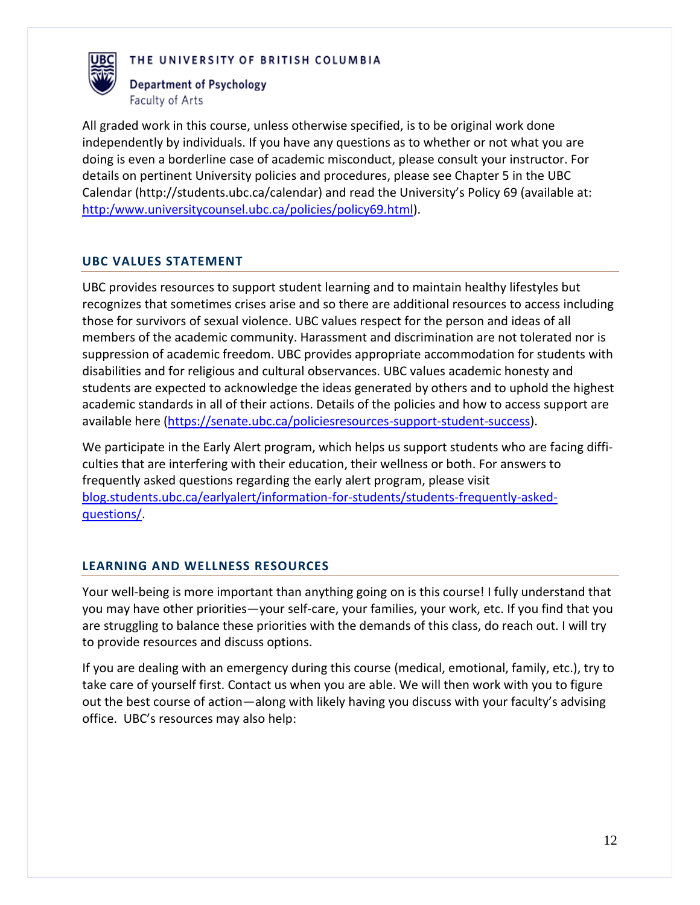

Department of Psychology Faculty of Arts

All graded work in this course, unless otherwise specified, is to be original work done independently by individuals. If you have any questions as to whether or not what you are doing is even a borderline case of academic misconduct, please consult your instructor. For details on pertinent University policies and procedures, please see Chapter 5 in the UBC Calendar (http://students.ubc.ca/calendar) and read the University's Policy 69 (available at: [http:/www.universitycounsel.ubc.ca/policies/policy69.html\)](http://www.universitycounsel.ubc.ca/policies/policy69.html).

#### **UBC VALUES STATEMENT**

UBC provides resources to support student learning and to maintain healthy lifestyles but recognizes that sometimes crises arise and so there are additional resources to access including those for survivors of sexual violence. UBC values respect for the person and ideas of all members of the academic community. Harassment and discrimination are not tolerated nor is suppression of academic freedom. UBC provides appropriate accommodation for students with disabilities and for religious and cultural observances. UBC values academic honesty and students are expected to acknowledge the ideas generated by others and to uphold the highest academic standards in all of their actions. Details of the policies and how to access support are available here [\(https://senate.ubc.ca/policiesresources-support-student-success\)](https://senate.ubc.ca/policiesresources-support-student-success).

We participate in the Early Alert program, which helps us support students who are facing difficulties that are interfering with their education, their wellness or both. For answers to frequently asked questions regarding the early alert program, please visit [blog.students.ubc.ca/earlyalert/information-for-students/students-frequently-asked](/Users/JeffSauve/Desktop/PSYC%20311/blog.students.ubc.ca/earlyalert/information-for-students/students-frequently-asked-questions)[questions/.](/Users/JeffSauve/Desktop/PSYC%20311/blog.students.ubc.ca/earlyalert/information-for-students/students-frequently-asked-questions)

#### **LEARNING AND WELLNESS RESOURCES**

Your well-being is more important than anything going on is this course! I fully understand that you may have other priorities—your self-care, your families, your work, etc. If you find that you are struggling to balance these priorities with the demands of this class, do reach out. I will try to provide resources and discuss options.

If you are dealing with an emergency during this course (medical, emotional, family, etc.), try to take care of yourself first. Contact us when you are able. We will then work with you to figure out the best course of action—along with likely having you discuss with your faculty's advising office. UBC's resources may also help: